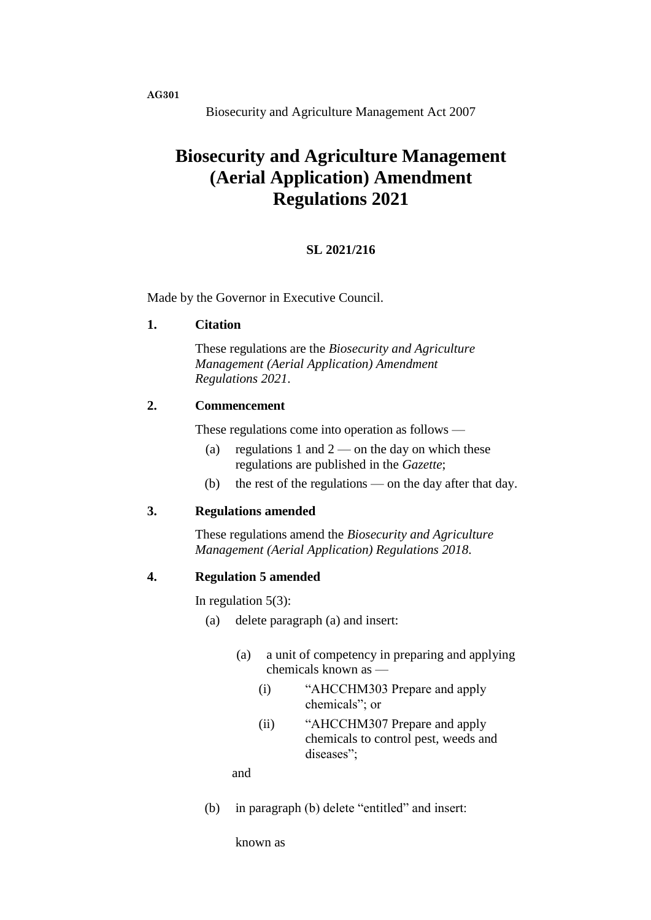**AG301**

# **Biosecurity and Agriculture Management (Aerial Application) Amendment Regulations 2021**

# **SL 2021/216**

Made by the Governor in Executive Council.

#### **1. Citation**

These regulations are the *Biosecurity and Agriculture Management (Aerial Application) Amendment Regulations 2021*.

## **2. Commencement**

These regulations come into operation as follows —

- (a) regulations 1 and  $2$  on the day on which these regulations are published in the *Gazette*;
- (b) the rest of the regulations on the day after that day.

### **3. Regulations amended**

These regulations amend the *Biosecurity and Agriculture Management (Aerial Application) Regulations 2018*.

#### **4. Regulation 5 amended**

In regulation 5(3):

- (a) delete paragraph (a) and insert:
	- (a) a unit of competency in preparing and applying chemicals known as —
		- (i) "AHCCHM303 Prepare and apply chemicals"; or
		- (ii) "AHCCHM307 Prepare and apply chemicals to control pest, weeds and diseases":

and

(b) in paragraph (b) delete "entitled" and insert:

known as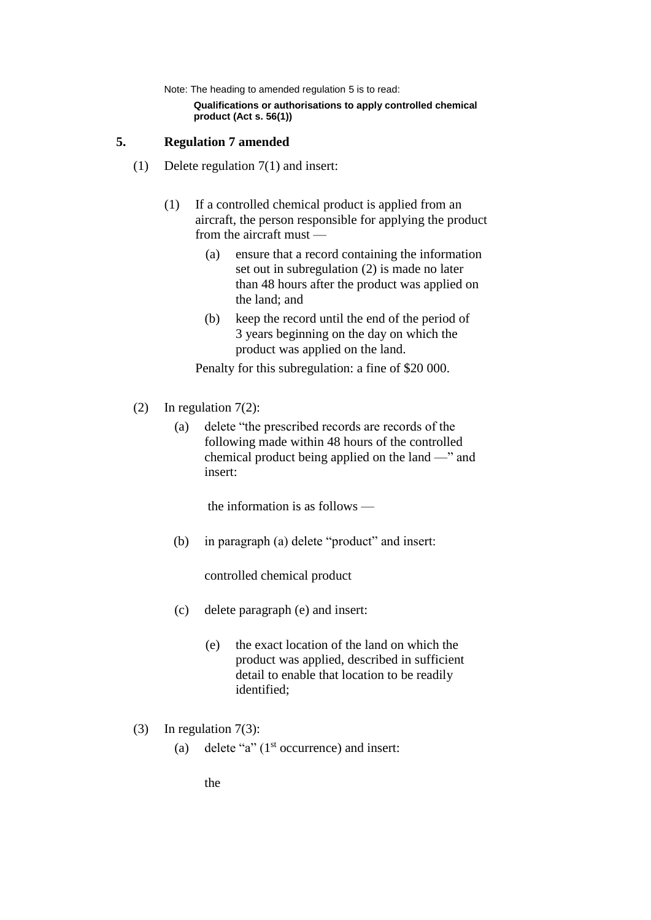Note: The heading to amended regulation 5 is to read:

**Qualifications or authorisations to apply controlled chemical product (Act s. 56(1))**

# **5. Regulation 7 amended**

- (1) Delete regulation 7(1) and insert:
	- (1) If a controlled chemical product is applied from an aircraft, the person responsible for applying the product from the aircraft must —
		- (a) ensure that a record containing the information set out in subregulation (2) is made no later than 48 hours after the product was applied on the land; and
		- (b) keep the record until the end of the period of 3 years beginning on the day on which the product was applied on the land.

Penalty for this subregulation: a fine of \$20 000.

- (2) In regulation 7(2):
	- (a) delete "the prescribed records are records of the following made within 48 hours of the controlled chemical product being applied on the land —" and insert:

the information is as follows —

(b) in paragraph (a) delete "product" and insert:

controlled chemical product

- (c) delete paragraph (e) and insert:
	- (e) the exact location of the land on which the product was applied, described in sufficient detail to enable that location to be readily identified;
- (3) In regulation 7(3):
	- (a) delete "a"  $(1<sup>st</sup>$  occurrence) and insert:

the